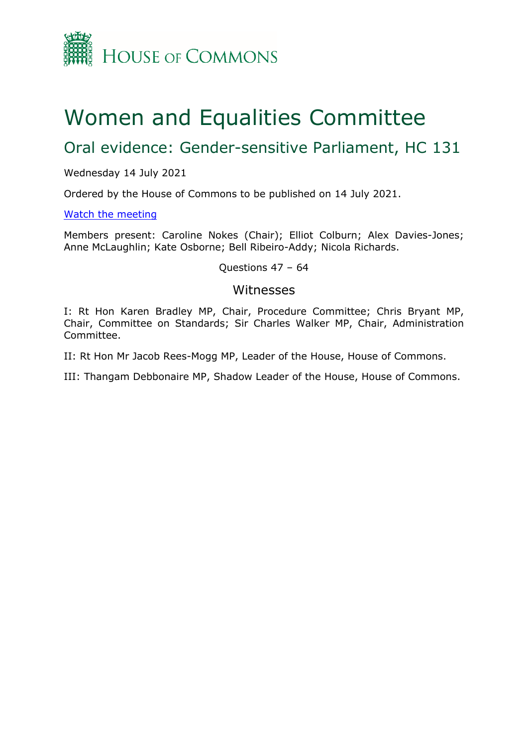

# Women and Equalities Committee

## Oral evidence: Gender-sensitive Parliament, HC 131

#### Wednesday 14 July 2021

Ordered by the House of Commons to be published on 14 July 2021.

#### [Watch](https://www.parliamentlive.tv/Event/Index/df13acdf-b0c9-4a06-884f-5be98baa953c) [the](https://www.parliamentlive.tv/Event/Index/df13acdf-b0c9-4a06-884f-5be98baa953c) [meeting](https://www.parliamentlive.tv/Event/Index/df13acdf-b0c9-4a06-884f-5be98baa953c)

Members present: Caroline Nokes (Chair); Elliot Colburn; Alex Davies-Jones; Anne McLaughlin; Kate Osborne; Bell Ribeiro-Addy; Nicola Richards.

#### Questions 47 – 64

#### Witnesses

I: Rt Hon Karen Bradley MP, Chair, Procedure Committee; Chris Bryant MP, Chair, Committee on Standards; Sir Charles Walker MP, Chair, Administration Committee.

II: Rt Hon Mr Jacob Rees-Mogg MP, Leader of the House, House of Commons.

III: Thangam Debbonaire MP, Shadow Leader of the House, House of Commons.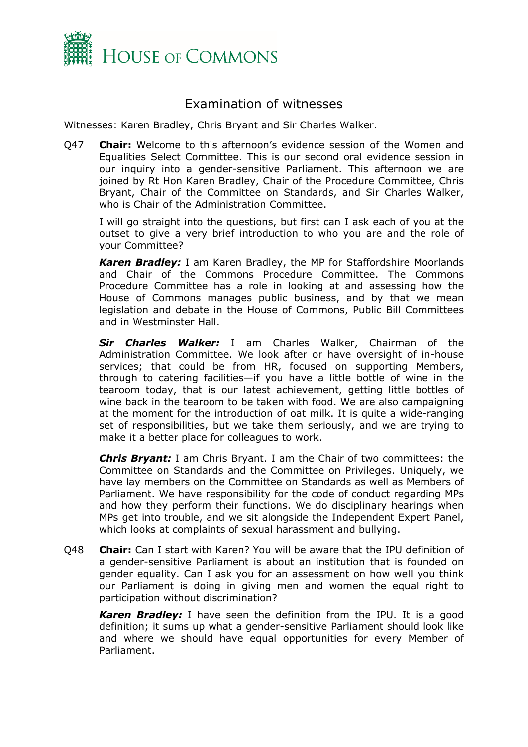

### Examination of witnesses

Witnesses: Karen Bradley, Chris Bryant and Sir Charles Walker.

Q47 **Chair:** Welcome to this afternoon's evidence session of the Women and Equalities Select Committee. This is our second oral evidence session in our inquiry into a gender-sensitive Parliament. This afternoon we are joined by Rt Hon Karen Bradley, Chair of the Procedure Committee, Chris Bryant, Chair of the Committee on Standards, and Sir Charles Walker, who is Chair of the Administration Committee.

I will go straight into the questions, but first can I ask each of you at the outset to give a very brief introduction to who you are and the role of your Committee?

*Karen Bradley:* I am Karen Bradley, the MP for Staffordshire Moorlands and Chair of the Commons Procedure Committee. The Commons Procedure Committee has a role in looking at and assessing how the House of Commons manages public business, and by that we mean legislation and debate in the House of Commons, Public Bill Committees and in Westminster Hall.

*Sir Charles Walker:* I am Charles Walker, Chairman of the Administration Committee. We look after or have oversight of in-house services; that could be from HR, focused on supporting Members, through to catering facilities—if you have a little bottle of wine in the tearoom today, that is our latest achievement, getting little bottles of wine back in the tearoom to be taken with food. We are also campaigning at the moment for the introduction of oat milk. It is quite a wide-ranging set of responsibilities, but we take them seriously, and we are trying to make it a better place for colleagues to work.

*Chris Bryant:* I am Chris Bryant. I am the Chair of two committees: the Committee on Standards and the Committee on Privileges. Uniquely, we have lay members on the Committee on Standards as well as Members of Parliament. We have responsibility for the code of conduct regarding MPs and how they perform their functions. We do disciplinary hearings when MPs get into trouble, and we sit alongside the Independent Expert Panel, which looks at complaints of sexual harassment and bullying.

Q48 **Chair:** Can I start with Karen? You will be aware that the IPU definition of a gender-sensitive Parliament is about an institution that is founded on gender equality. Can I ask you for an assessment on how well you think our Parliament is doing in giving men and women the equal right to participation without discrimination?

*Karen Bradley:* I have seen the definition from the IPU. It is a good definition; it sums up what a gender-sensitive Parliament should look like and where we should have equal opportunities for every Member of Parliament.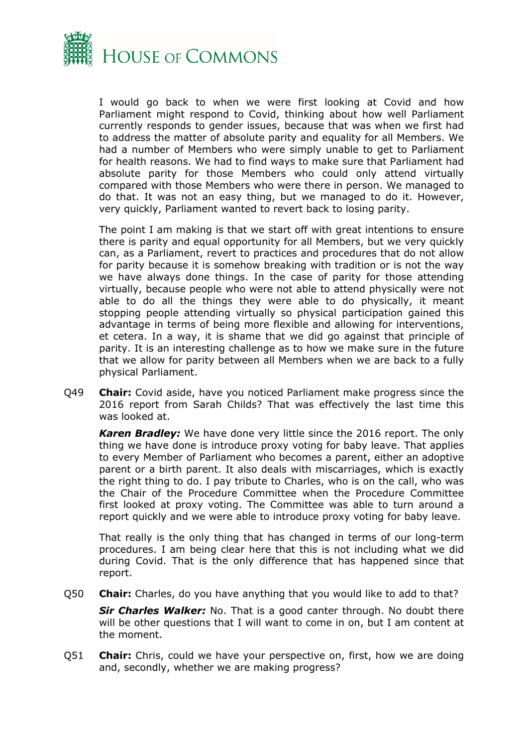

I would go back to when we were first looking at Covid and how Parliament might respond to Covid, thinking about how well Parliament currently responds to gender issues, because that was when we first had to address the matter of absolute parity and equality for all Members. We had a number of Members who were simply unable to get to Parliament for health reasons. We had to find ways to make sure that Parliament had absolute parity for those Members who could only attend virtually compared with those Members who were there in person. We managed to do that. It was not an easy thing, but we managed to do it. However, very quickly, Parliament wanted to revert back to losing parity.

The point I am making is that we start off with great intentions to ensure there is parity and equal opportunity for all Members, but we very quickly can, as a Parliament, revert to practices and procedures that do not allow for parity because it is somehow breaking with tradition or is not the way we have always done things. In the case of parity for those attending virtually, because people who were not able to attend physically were not able to do all the things they were able to do physically, it meant stopping people attending virtually so physical participation gained this advantage in terms of being more flexible and allowing for interventions, et cetera. In a way, it is shame that we did go against that principle of parity. It is an interesting challenge as to how we make sure in the future that we allow for parity between all Members when we are back to a fully physical Parliament.

Q49 **Chair:** Covid aside, have you noticed Parliament make progress since the 2016 report from Sarah Childs? That was effectively the last time this was looked at.

*Karen Bradley:* We have done very little since the 2016 report. The only thing we have done is introduce proxy voting for baby leave. That applies to every Member of Parliament who becomes a parent, either an adoptive parent or a birth parent. It also deals with miscarriages, which is exactly the right thing to do. I pay tribute to Charles, who is on the call, who was the Chair of the Procedure Committee when the Procedure Committee first looked at proxy voting. The Committee was able to turn around a report quickly and we were able to introduce proxy voting for baby leave.

That really is the only thing that has changed in terms of our long-term procedures. I am being clear here that this is not including what we did during Covid. That is the only difference that has happened since that report.

Q50 **Chair:** Charles, do you have anything that you would like to add to that?

*Sir Charles Walker:* No. That is a good canter through. No doubt there will be other questions that I will want to come in on, but I am content at the moment.

Q51 **Chair:** Chris, could we have your perspective on, first, how we are doing and, secondly, whether we are making progress?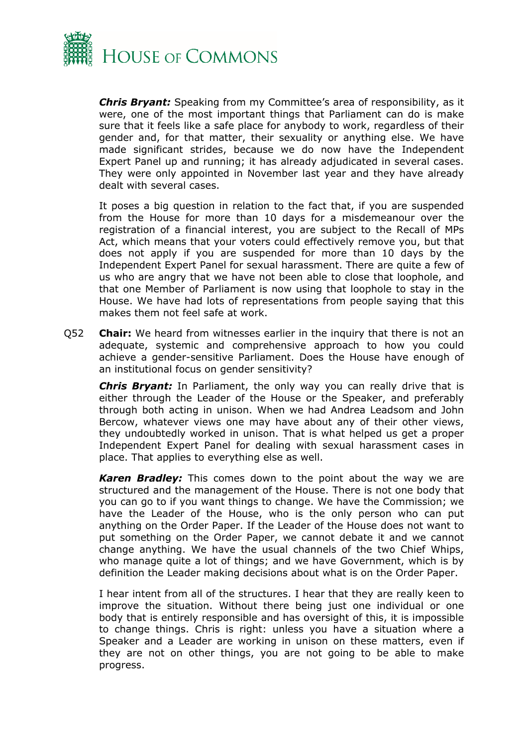

*Chris Bryant:* Speaking from my Committee's area of responsibility, as it were, one of the most important things that Parliament can do is make sure that it feels like a safe place for anybody to work, regardless of their gender and, for that matter, their sexuality or anything else. We have made significant strides, because we do now have the Independent Expert Panel up and running; it has already adjudicated in several cases. They were only appointed in November last year and they have already dealt with several cases.

It poses a big question in relation to the fact that, if you are suspended from the House for more than 10 days for a misdemeanour over the registration of a financial interest, you are subject to the Recall of MPs Act, which means that your voters could effectively remove you, but that does not apply if you are suspended for more than 10 days by the Independent Expert Panel for sexual harassment. There are quite a few of us who are angry that we have not been able to close that loophole, and that one Member of Parliament is now using that loophole to stay in the House. We have had lots of representations from people saying that this makes them not feel safe at work.

Q52 **Chair:** We heard from witnesses earlier in the inquiry that there is not an adequate, systemic and comprehensive approach to how you could achieve a gender-sensitive Parliament. Does the House have enough of an institutional focus on gender sensitivity?

*Chris Bryant:* In Parliament, the only way you can really drive that is either through the Leader of the House or the Speaker, and preferably through both acting in unison. When we had Andrea Leadsom and John Bercow, whatever views one may have about any of their other views, they undoubtedly worked in unison. That is what helped us get a proper Independent Expert Panel for dealing with sexual harassment cases in place. That applies to everything else as well.

*Karen Bradley:* This comes down to the point about the way we are structured and the management of the House. There is not one body that you can go to if you want things to change. We have the Commission; we have the Leader of the House, who is the only person who can put anything on the Order Paper. If the Leader of the House does not want to put something on the Order Paper, we cannot debate it and we cannot change anything. We have the usual channels of the two Chief Whips, who manage quite a lot of things; and we have Government, which is by definition the Leader making decisions about what is on the Order Paper.

I hear intent from all of the structures. I hear that they are really keen to improve the situation. Without there being just one individual or one body that is entirely responsible and has oversight of this, it is impossible to change things. Chris is right: unless you have a situation where a Speaker and a Leader are working in unison on these matters, even if they are not on other things, you are not going to be able to make progress.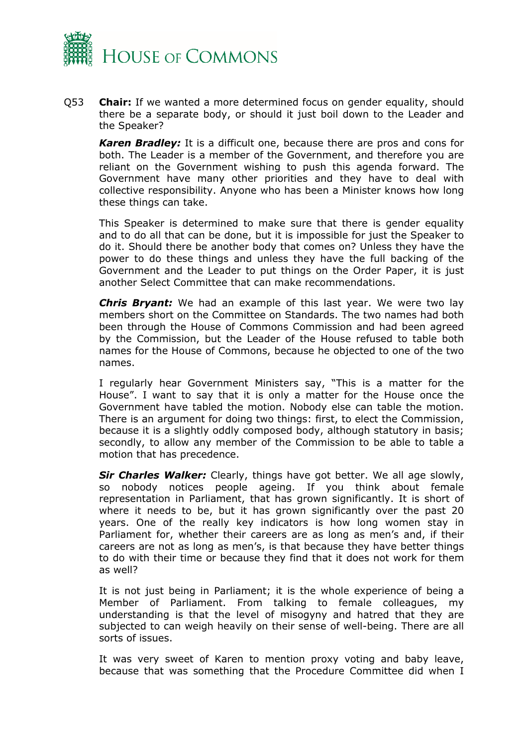

Q53 **Chair:** If we wanted a more determined focus on gender equality, should there be a separate body, or should it just boil down to the Leader and the Speaker?

*Karen Bradley:* It is a difficult one, because there are pros and cons for both. The Leader is a member of the Government, and therefore you are reliant on the Government wishing to push this agenda forward. The Government have many other priorities and they have to deal with collective responsibility. Anyone who has been a Minister knows how long these things can take.

This Speaker is determined to make sure that there is gender equality and to do all that can be done, but it is impossible for just the Speaker to do it. Should there be another body that comes on? Unless they have the power to do these things and unless they have the full backing of the Government and the Leader to put things on the Order Paper, it is just another Select Committee that can make recommendations.

*Chris Bryant:* We had an example of this last year. We were two lay members short on the Committee on Standards. The two names had both been through the House of Commons Commission and had been agreed by the Commission, but the Leader of the House refused to table both names for the House of Commons, because he objected to one of the two names.

I regularly hear Government Ministers say, "This is a matter for the House". I want to say that it is only a matter for the House once the Government have tabled the motion. Nobody else can table the motion. There is an argument for doing two things: first, to elect the Commission, because it is a slightly oddly composed body, although statutory in basis; secondly, to allow any member of the Commission to be able to table a motion that has precedence.

*Sir Charles Walker:* Clearly, things have got better. We all age slowly, so nobody notices people ageing. If you think about female representation in Parliament, that has grown significantly. It is short of where it needs to be, but it has grown significantly over the past 20 years. One of the really key indicators is how long women stay in Parliament for, whether their careers are as long as men's and, if their careers are not as long as men's, is that because they have better things to do with their time or because they find that it does not work for them as well?

It is not just being in Parliament; it is the whole experience of being a Member of Parliament. From talking to female colleagues, my understanding is that the level of misogyny and hatred that they are subjected to can weigh heavily on their sense of well-being. There are all sorts of issues.

It was very sweet of Karen to mention proxy voting and baby leave, because that was something that the Procedure Committee did when I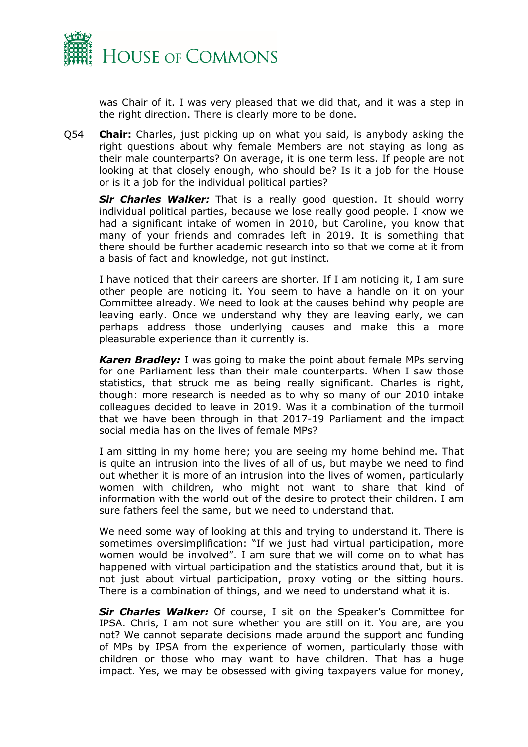

was Chair of it. I was very pleased that we did that, and it was a step in the right direction. There is clearly more to be done.

Q54 **Chair:** Charles, just picking up on what you said, is anybody asking the right questions about why female Members are not staying as long as their male counterparts? On average, it is one term less. If people are not looking at that closely enough, who should be? Is it a job for the House or is it a job for the individual political parties?

*Sir Charles Walker:* That is a really good question. It should worry individual political parties, because we lose really good people. I know we had a significant intake of women in 2010, but Caroline, you know that many of your friends and comrades left in 2019. It is something that there should be further academic research into so that we come at it from a basis of fact and knowledge, not gut instinct.

I have noticed that their careers are shorter. If I am noticing it, I am sure other people are noticing it. You seem to have a handle on it on your Committee already. We need to look at the causes behind why people are leaving early. Once we understand why they are leaving early, we can perhaps address those underlying causes and make this a more pleasurable experience than it currently is.

*Karen Bradley:* I was going to make the point about female MPs serving for one Parliament less than their male counterparts. When I saw those statistics, that struck me as being really significant. Charles is right, though: more research is needed as to why so many of our 2010 intake colleagues decided to leave in 2019. Was it a combination of the turmoil that we have been through in that 2017-19 Parliament and the impact social media has on the lives of female MPs?

I am sitting in my home here; you are seeing my home behind me. That is quite an intrusion into the lives of all of us, but maybe we need to find out whether it is more of an intrusion into the lives of women, particularly women with children, who might not want to share that kind of information with the world out of the desire to protect their children. I am sure fathers feel the same, but we need to understand that.

We need some way of looking at this and trying to understand it. There is sometimes oversimplification: "If we just had virtual participation, more women would be involved". I am sure that we will come on to what has happened with virtual participation and the statistics around that, but it is not just about virtual participation, proxy voting or the sitting hours. There is a combination of things, and we need to understand what it is.

*Sir Charles Walker:* Of course, I sit on the Speaker's Committee for IPSA. Chris, I am not sure whether you are still on it. You are, are you not? We cannot separate decisions made around the support and funding of MPs by IPSA from the experience of women, particularly those with children or those who may want to have children. That has a huge impact. Yes, we may be obsessed with giving taxpayers value for money,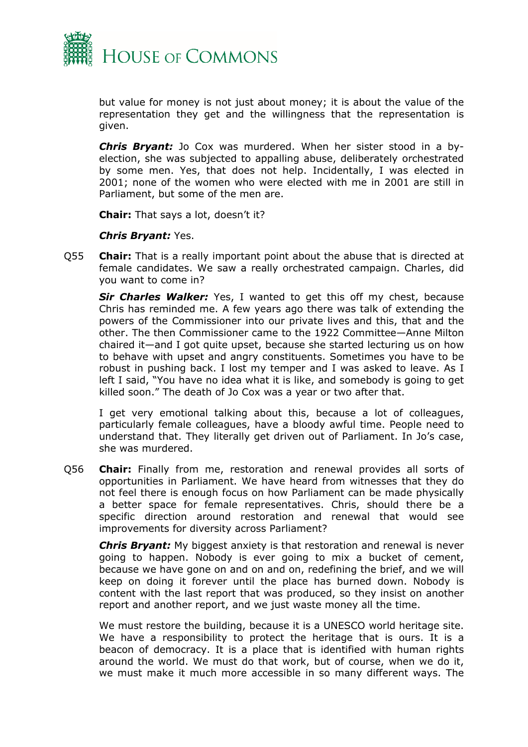

but value for money is not just about money; it is about the value of the representation they get and the willingness that the representation is given.

*Chris Bryant:* Jo Cox was murdered. When her sister stood in a byelection, she was subjected to appalling abuse, deliberately orchestrated by some men. Yes, that does not help. Incidentally, I was elected in 2001; none of the women who were elected with me in 2001 are still in Parliament, but some of the men are.

**Chair:** That says a lot, doesn't it?

#### *Chris Bryant:* Yes.

Q55 **Chair:** That is a really important point about the abuse that is directed at female candidates. We saw a really orchestrated campaign. Charles, did you want to come in?

*Sir Charles Walker:* Yes, I wanted to get this off my chest, because Chris has reminded me. A few years ago there was talk of extending the powers of the Commissioner into our private lives and this, that and the other. The then Commissioner came to the 1922 Committee—Anne Milton chaired it—and I got quite upset, because she started lecturing us on how to behave with upset and angry constituents. Sometimes you have to be robust in pushing back. I lost my temper and I was asked to leave. As I left I said, "You have no idea what it is like, and somebody is going to get killed soon." The death of Jo Cox was a year or two after that.

I get very emotional talking about this, because a lot of colleagues, particularly female colleagues, have a bloody awful time. People need to understand that. They literally get driven out of Parliament. In Jo's case, she was murdered.

Q56 **Chair:** Finally from me, restoration and renewal provides all sorts of opportunities in Parliament. We have heard from witnesses that they do not feel there is enough focus on how Parliament can be made physically a better space for female representatives. Chris, should there be a specific direction around restoration and renewal that would see improvements for diversity across Parliament?

*Chris Bryant:* My biggest anxiety is that restoration and renewal is never going to happen. Nobody is ever going to mix a bucket of cement, because we have gone on and on and on, redefining the brief, and we will keep on doing it forever until the place has burned down. Nobody is content with the last report that was produced, so they insist on another report and another report, and we just waste money all the time.

We must restore the building, because it is a UNESCO world heritage site. We have a responsibility to protect the heritage that is ours. It is a beacon of democracy. It is a place that is identified with human rights around the world. We must do that work, but of course, when we do it, we must make it much more accessible in so many different ways. The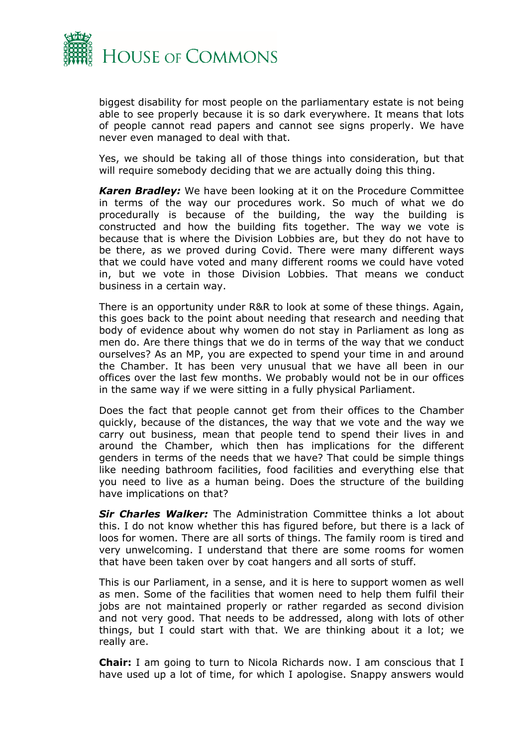

biggest disability for most people on the parliamentary estate is not being able to see properly because it is so dark everywhere. It means that lots of people cannot read papers and cannot see signs properly. We have never even managed to deal with that.

Yes, we should be taking all of those things into consideration, but that will require somebody deciding that we are actually doing this thing.

*Karen Bradley:* We have been looking at it on the Procedure Committee in terms of the way our procedures work. So much of what we do procedurally is because of the building, the way the building is constructed and how the building fits together. The way we vote is because that is where the Division Lobbies are, but they do not have to be there, as we proved during Covid. There were many different ways that we could have voted and many different rooms we could have voted in, but we vote in those Division Lobbies. That means we conduct business in a certain way.

There is an opportunity under R&R to look at some of these things. Again, this goes back to the point about needing that research and needing that body of evidence about why women do not stay in Parliament as long as men do. Are there things that we do in terms of the way that we conduct ourselves? As an MP, you are expected to spend your time in and around the Chamber. It has been very unusual that we have all been in our offices over the last few months. We probably would not be in our offices in the same way if we were sitting in a fully physical Parliament.

Does the fact that people cannot get from their offices to the Chamber quickly, because of the distances, the way that we vote and the way we carry out business, mean that people tend to spend their lives in and around the Chamber, which then has implications for the different genders in terms of the needs that we have? That could be simple things like needing bathroom facilities, food facilities and everything else that you need to live as a human being. Does the structure of the building have implications on that?

*Sir Charles Walker:* The Administration Committee thinks a lot about this. I do not know whether this has figured before, but there is a lack of loos for women. There are all sorts of things. The family room is tired and very unwelcoming. I understand that there are some rooms for women that have been taken over by coat hangers and all sorts of stuff.

This is our Parliament, in a sense, and it is here to support women as well as men. Some of the facilities that women need to help them fulfil their jobs are not maintained properly or rather regarded as second division and not very good. That needs to be addressed, along with lots of other things, but I could start with that. We are thinking about it a lot; we really are.

**Chair:** I am going to turn to Nicola Richards now. I am conscious that I have used up a lot of time, for which I apologise. Snappy answers would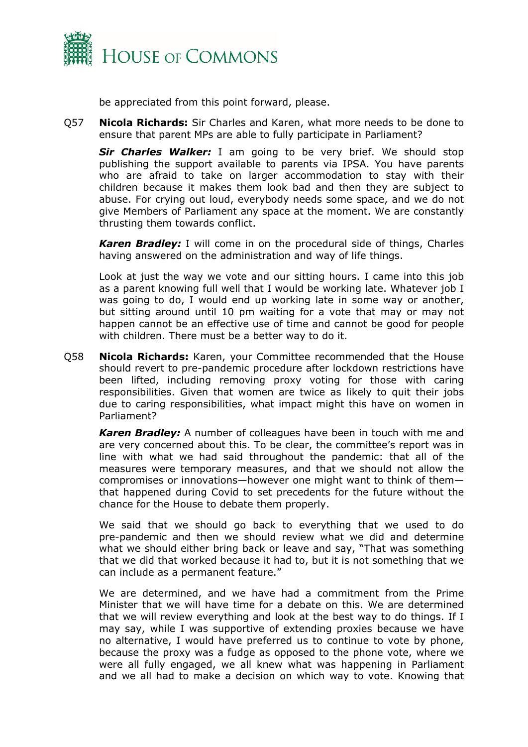

be appreciated from this point forward, please.

Q57 **Nicola Richards:** Sir Charles and Karen, what more needs to be done to ensure that parent MPs are able to fully participate in Parliament?

*Sir Charles Walker:* I am going to be very brief. We should stop publishing the support available to parents via IPSA. You have parents who are afraid to take on larger accommodation to stay with their children because it makes them look bad and then they are subject to abuse. For crying out loud, everybody needs some space, and we do not give Members of Parliament any space at the moment. We are constantly thrusting them towards conflict.

*Karen Bradley:* I will come in on the procedural side of things, Charles having answered on the administration and way of life things.

Look at just the way we vote and our sitting hours. I came into this job as a parent knowing full well that I would be working late. Whatever job I was going to do, I would end up working late in some way or another, but sitting around until 10 pm waiting for a vote that may or may not happen cannot be an effective use of time and cannot be good for people with children. There must be a better way to do it.

Q58 **Nicola Richards:** Karen, your Committee recommended that the House should revert to pre-pandemic procedure after lockdown restrictions have been lifted, including removing proxy voting for those with caring responsibilities. Given that women are twice as likely to quit their jobs due to caring responsibilities, what impact might this have on women in Parliament?

*Karen Bradley:* A number of colleagues have been in touch with me and are very concerned about this. To be clear, the committee's report was in line with what we had said throughout the pandemic: that all of the measures were temporary measures, and that we should not allow the compromises or innovations—however one might want to think of them that happened during Covid to set precedents for the future without the chance for the House to debate them properly.

We said that we should go back to everything that we used to do pre-pandemic and then we should review what we did and determine what we should either bring back or leave and say, "That was something that we did that worked because it had to, but it is not something that we can include as a permanent feature."

We are determined, and we have had a commitment from the Prime Minister that we will have time for a debate on this. We are determined that we will review everything and look at the best way to do things. If I may say, while I was supportive of extending proxies because we have no alternative, I would have preferred us to continue to vote by phone, because the proxy was a fudge as opposed to the phone vote, where we were all fully engaged, we all knew what was happening in Parliament and we all had to make a decision on which way to vote. Knowing that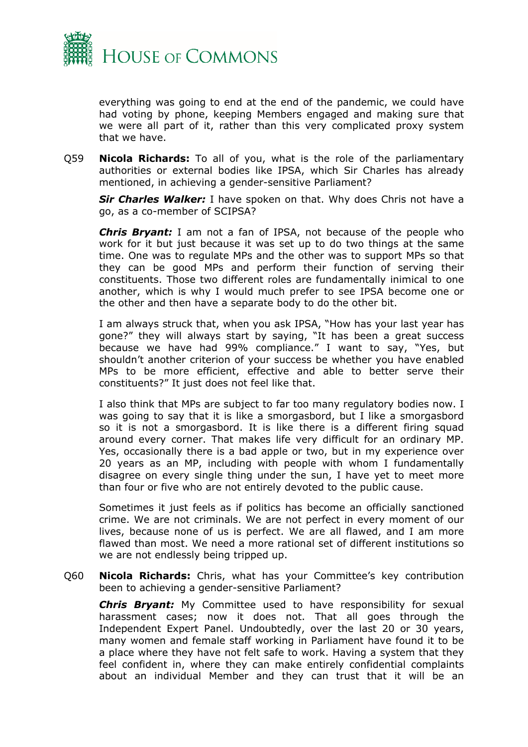

everything was going to end at the end of the pandemic, we could have had voting by phone, keeping Members engaged and making sure that we were all part of it, rather than this very complicated proxy system that we have.

Q59 **Nicola Richards:** To all of you, what is the role of the parliamentary authorities or external bodies like IPSA, which Sir Charles has already mentioned, in achieving a gender-sensitive Parliament?

*Sir Charles Walker:* I have spoken on that. Why does Chris not have a go, as a co-member of SCIPSA?

*Chris Bryant:* I am not a fan of IPSA, not because of the people who work for it but just because it was set up to do two things at the same time. One was to regulate MPs and the other was to support MPs so that they can be good MPs and perform their function of serving their constituents. Those two different roles are fundamentally inimical to one another, which is why I would much prefer to see IPSA become one or the other and then have a separate body to do the other bit.

I am always struck that, when you ask IPSA, "How has your last year has gone?" they will always start by saying, "It has been a great success because we have had 99% compliance." I want to say, "Yes, but shouldn't another criterion of your success be whether you have enabled MPs to be more efficient, effective and able to better serve their constituents?" It just does not feel like that.

I also think that MPs are subject to far too many regulatory bodies now. I was going to say that it is like a smorgasbord, but I like a smorgasbord so it is not a smorgasbord. It is like there is a different firing squad around every corner. That makes life very difficult for an ordinary MP. Yes, occasionally there is a bad apple or two, but in my experience over 20 years as an MP, including with people with whom I fundamentally disagree on every single thing under the sun, I have yet to meet more than four or five who are not entirely devoted to the public cause.

Sometimes it just feels as if politics has become an officially sanctioned crime. We are not criminals. We are not perfect in every moment of our lives, because none of us is perfect. We are all flawed, and I am more flawed than most. We need a more rational set of different institutions so we are not endlessly being tripped up.

Q60 **Nicola Richards:** Chris, what has your Committee's key contribution been to achieving a gender-sensitive Parliament?

*Chris Bryant:* My Committee used to have responsibility for sexual harassment cases; now it does not. That all goes through the Independent Expert Panel. Undoubtedly, over the last 20 or 30 years, many women and female staff working in Parliament have found it to be a place where they have not felt safe to work. Having a system that they feel confident in, where they can make entirely confidential complaints about an individual Member and they can trust that it will be an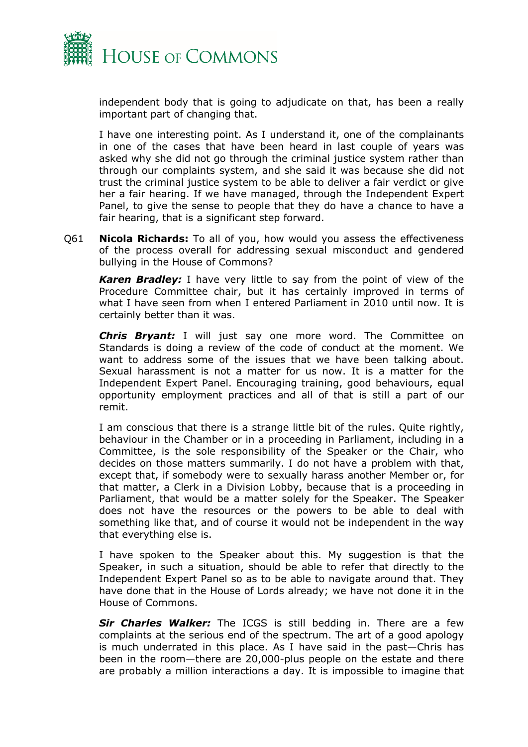

independent body that is going to adjudicate on that, has been a really important part of changing that.

I have one interesting point. As I understand it, one of the complainants in one of the cases that have been heard in last couple of years was asked why she did not go through the criminal justice system rather than through our complaints system, and she said it was because she did not trust the criminal justice system to be able to deliver a fair verdict or give her a fair hearing. If we have managed, through the Independent Expert Panel, to give the sense to people that they do have a chance to have a fair hearing, that is a significant step forward.

Q61 **Nicola Richards:** To all of you, how would you assess the effectiveness of the process overall for addressing sexual misconduct and gendered bullying in the House of Commons?

*Karen Bradley:* I have very little to say from the point of view of the Procedure Committee chair, but it has certainly improved in terms of what I have seen from when I entered Parliament in 2010 until now. It is certainly better than it was.

*Chris Bryant:* I will just say one more word. The Committee on Standards is doing a review of the code of conduct at the moment. We want to address some of the issues that we have been talking about. Sexual harassment is not a matter for us now. It is a matter for the Independent Expert Panel. Encouraging training, good behaviours, equal opportunity employment practices and all of that is still a part of our remit.

I am conscious that there is a strange little bit of the rules. Quite rightly, behaviour in the Chamber or in a proceeding in Parliament, including in a Committee, is the sole responsibility of the Speaker or the Chair, who decides on those matters summarily. I do not have a problem with that, except that, if somebody were to sexually harass another Member or, for that matter, a Clerk in a Division Lobby, because that is a proceeding in Parliament, that would be a matter solely for the Speaker. The Speaker does not have the resources or the powers to be able to deal with something like that, and of course it would not be independent in the way that everything else is.

I have spoken to the Speaker about this. My suggestion is that the Speaker, in such a situation, should be able to refer that directly to the Independent Expert Panel so as to be able to navigate around that. They have done that in the House of Lords already; we have not done it in the House of Commons.

*Sir Charles Walker:* The ICGS is still bedding in. There are a few complaints at the serious end of the spectrum. The art of a good apology is much underrated in this place. As I have said in the past—Chris has been in the room—there are 20,000-plus people on the estate and there are probably a million interactions a day. It is impossible to imagine that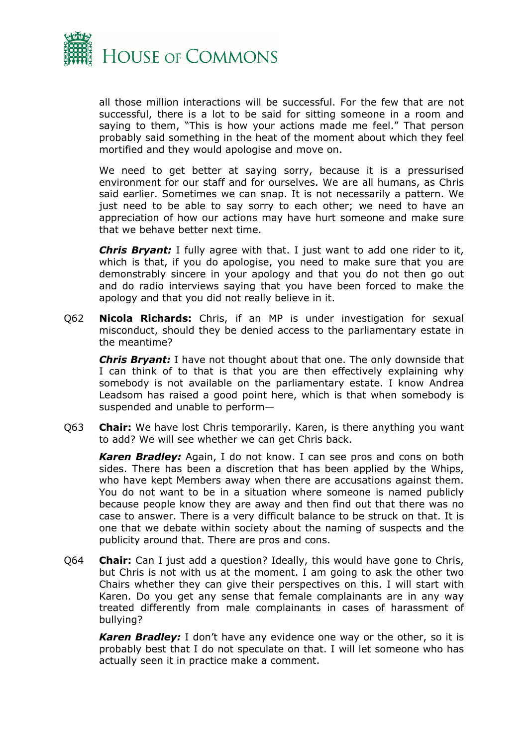

all those million interactions will be successful. For the few that are not successful, there is a lot to be said for sitting someone in a room and saying to them, "This is how your actions made me feel." That person probably said something in the heat of the moment about which they feel mortified and they would apologise and move on.

We need to get better at saying sorry, because it is a pressurised environment for our staff and for ourselves. We are all humans, as Chris said earlier. Sometimes we can snap. It is not necessarily a pattern. We just need to be able to say sorry to each other; we need to have an appreciation of how our actions may have hurt someone and make sure that we behave better next time.

*Chris Bryant:* I fully agree with that. I just want to add one rider to it, which is that, if you do apologise, you need to make sure that you are demonstrably sincere in your apology and that you do not then go out and do radio interviews saying that you have been forced to make the apology and that you did not really believe in it.

Q62 **Nicola Richards:** Chris, if an MP is under investigation for sexual misconduct, should they be denied access to the parliamentary estate in the meantime?

*Chris Bryant:* I have not thought about that one. The only downside that I can think of to that is that you are then effectively explaining why somebody is not available on the parliamentary estate. I know Andrea Leadsom has raised a good point here, which is that when somebody is suspended and unable to perform—

Q63 **Chair:** We have lost Chris temporarily. Karen, is there anything you want to add? We will see whether we can get Chris back.

*Karen Bradley:* Again, I do not know. I can see pros and cons on both sides. There has been a discretion that has been applied by the Whips, who have kept Members away when there are accusations against them. You do not want to be in a situation where someone is named publicly because people know they are away and then find out that there was no case to answer. There is a very difficult balance to be struck on that. It is one that we debate within society about the naming of suspects and the publicity around that. There are pros and cons.

Q64 **Chair:** Can I just add a question? Ideally, this would have gone to Chris, but Chris is not with us at the moment. I am going to ask the other two Chairs whether they can give their perspectives on this. I will start with Karen. Do you get any sense that female complainants are in any way treated differently from male complainants in cases of harassment of bullying?

*Karen Bradley:* I don't have any evidence one way or the other, so it is probably best that I do not speculate on that. I will let someone who has actually seen it in practice make a comment.